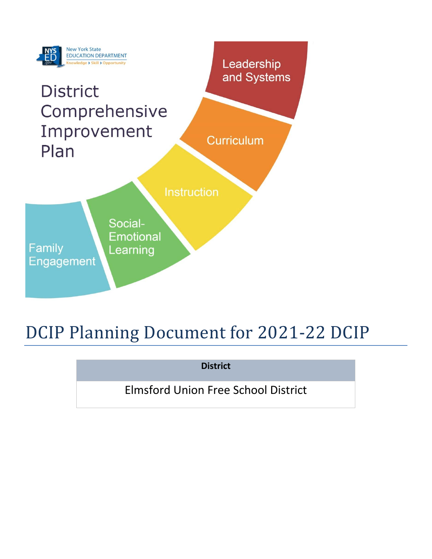

# DCIP Planning Document for 2021-22 DCIP

**District**

Elmsford Union Free School District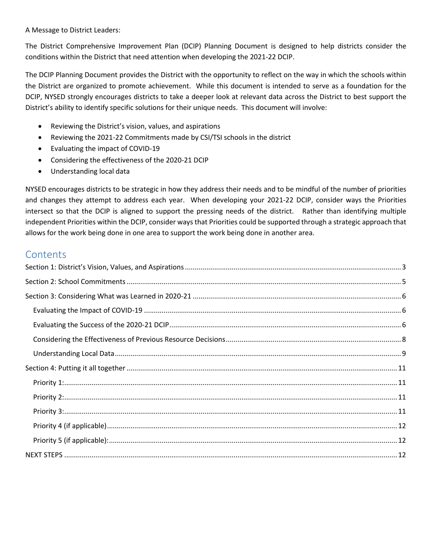A Message to District Leaders:

The District Comprehensive Improvement Plan (DCIP) Planning Document is designed to help districts consider the conditions within the District that need attention when developing the 2021-22 DCIP.

The DCIP Planning Document provides the District with the opportunity to reflect on the way in which the schools within the District are organized to promote achievement. While this document is intended to serve as a foundation for the DCIP, NYSED strongly encourages districts to take a deeper look at relevant data across the District to best support the District's ability to identify specific solutions for their unique needs. This document will involve:

- Reviewing the District's vision, values, and aspirations
- Reviewing the 2021-22 Commitments made by CSI/TSI schools in the district
- Evaluating the impact of COVID-19
- Considering the effectiveness of the 2020-21 DCIP
- Understanding local data

NYSED encourages districts to be strategic in how they address their needs and to be mindful of the number of priorities and changes they attempt to address each year. When developing your 2021-22 DCIP, consider ways the Priorities intersect so that the DCIP is aligned to support the pressing needs of the district. Rather than identifying multiple independent Priorities within the DCIP, consider ways that Priorities could be supported through a strategic approach that allows for the work being done in one area to support the work being done in another area.

## **Contents**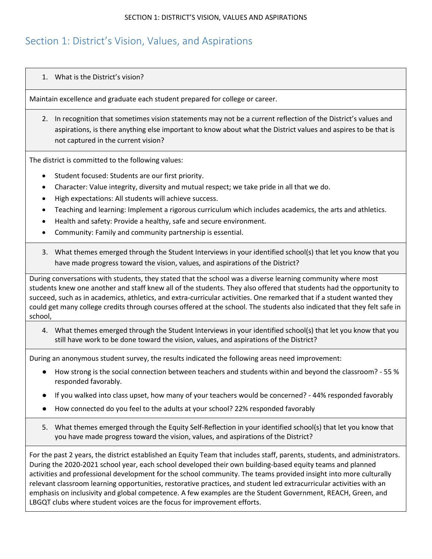## <span id="page-2-0"></span>Section 1: District's Vision, Values, and Aspirations

#### 1. What is the District's vision?

Maintain excellence and graduate each student prepared for college or career.

2. In recognition that sometimes vision statements may not be a current reflection of the District's values and aspirations, is there anything else important to know about what the District values and aspires to be that is not captured in the current vision?

The district is committed to the following values:

- Student focused: Students are our first priority.
- Character: Value integrity, diversity and mutual respect; we take pride in all that we do.
- High expectations: All students will achieve success.
- Teaching and learning: Implement a rigorous curriculum which includes academics, the arts and athletics.
- Health and safety: Provide a healthy, safe and secure environment.
- Community: Family and community partnership is essential.
- 3. What themes emerged through the Student Interviews in your identified school(s) that let you know that you have made progress toward the vision, values, and aspirations of the District?

During conversations with students, they stated that the school was a diverse learning community where most students knew one another and staff knew all of the students. They also offered that students had the opportunity to succeed, such as in academics, athletics, and extra-curricular activities. One remarked that if a student wanted they could get many college credits through courses offered at the school. The students also indicated that they felt safe in school,

4. What themes emerged through the Student Interviews in your identified school(s) that let you know that you still have work to be done toward the vision, values, and aspirations of the District?

During an anonymous student survey, the results indicated the following areas need improvement:

- How strong is the social connection between teachers and students within and beyond the classroom? 55 % responded favorably.
- If you walked into class upset, how many of your teachers would be concerned? 44% responded favorably
- How connected do you feel to the adults at your school? 22% responded favorably
- 5. What themes emerged through the Equity Self-Reflection in your identified school(s) that let you know that you have made progress toward the vision, values, and aspirations of the District?

For the past 2 years, the district established an Equity Team that includes staff, parents, students, and administrators. During the 2020-2021 school year, each school developed their own building-based equity teams and planned activities and professional development for the school community. The teams provided insight into more culturally relevant classroom learning opportunities, restorative practices, and student led extracurricular activities with an emphasis on inclusivity and global competence. A few examples are the Student Government, REACH, Green, and LBGQT clubs where student voices are the focus for improvement efforts.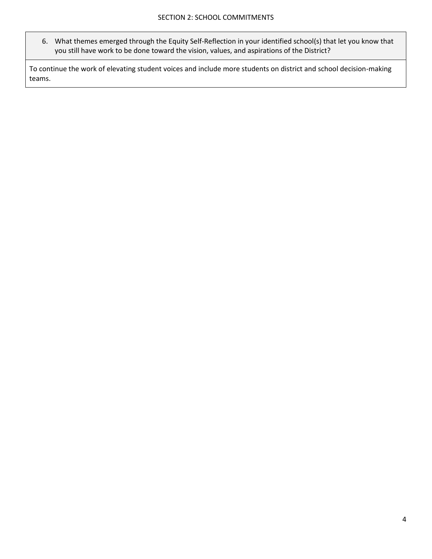6. What themes emerged through the Equity Self-Reflection in your identified school(s) that let you know that you still have work to be done toward the vision, values, and aspirations of the District?

To continue the work of elevating student voices and include more students on district and school decision-making teams.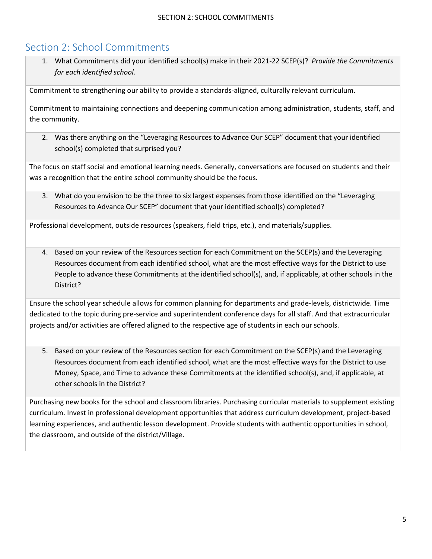# <span id="page-4-0"></span>Section 2: School Commitments

1. What Commitments did your identified school(s) make in their 2021-22 SCEP(s)? *Provide the Commitments for each identified school.*

Commitment to strengthening our ability to provide a standards-aligned, culturally relevant curriculum.

Commitment to maintaining connections and deepening communication among administration, students, staff, and the community.

2. Was there anything on the "Leveraging Resources to Advance Our SCEP" document that your identified school(s) completed that surprised you?

The focus on staff social and emotional learning needs. Generally, conversations are focused on students and their was a recognition that the entire school community should be the focus.

3. What do you envision to be the three to six largest expenses from those identified on the "Leveraging Resources to Advance Our SCEP" document that your identified school(s) completed?

Professional development, outside resources (speakers, field trips, etc.), and materials/supplies.

4. Based on your review of the Resources section for each Commitment on the SCEP(s) and the Leveraging Resources document from each identified school, what are the most effective ways for the District to use People to advance these Commitments at the identified school(s), and, if applicable, at other schools in the District?

Ensure the school year schedule allows for common planning for departments and grade-levels, districtwide. Time dedicated to the topic during pre-service and superintendent conference days for all staff. And that extracurricular projects and/or activities are offered aligned to the respective age of students in each our schools.

5. Based on your review of the Resources section for each Commitment on the SCEP(s) and the Leveraging Resources document from each identified school, what are the most effective ways for the District to use Money, Space, and Time to advance these Commitments at the identified school(s), and, if applicable, at other schools in the District?

Purchasing new books for the school and classroom libraries. Purchasing curricular materials to supplement existing curriculum. Invest in professional development opportunities that address curriculum development, project-based learning experiences, and authentic lesson development. Provide students with authentic opportunities in school, the classroom, and outside of the district/Village.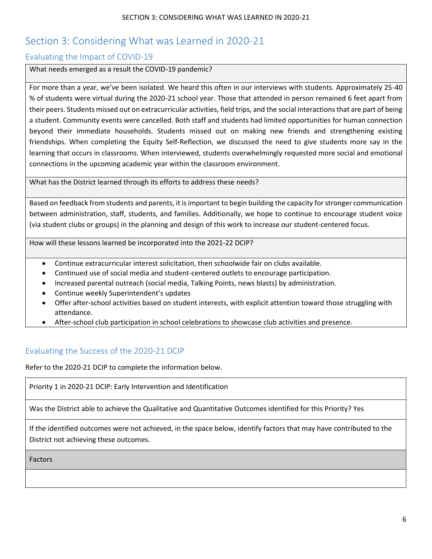# <span id="page-5-0"></span>Section 3: Considering What was Learned in 2020-21

## <span id="page-5-1"></span>Evaluating the Impact of COVID-19

What needs emerged as a result the COVID-19 pandemic?

For more than a year, we've been isolated. We heard this often in our interviews with students. Approximately 25-40 % of students were virtual during the 2020-21 school year. Those that attended in person remained 6 feet apart from their peers. Students missed out on extracurricular activities, field trips, and the social interactions that are part of being a student. Community events were cancelled. Both staff and students had limited opportunities for human connection beyond their immediate households. Students missed out on making new friends and strengthening existing friendships. When completing the Equity Self-Reflection, we discussed the need to give students more say in the learning that occurs in classrooms. When interviewed, students overwhelmingly requested more social and emotional connections in the upcoming academic year within the classroom environment.

What has the District learned through its efforts to address these needs?

Based on feedback from students and parents, it is important to begin building the capacity for stronger communication between administration, staff, students, and families. Additionally, we hope to continue to encourage student voice (via student clubs or groups) in the planning and design of this work to increase our student-centered focus.

How will these lessons learned be incorporated into the 2021-22 DCIP?

- Continue extracurricular interest solicitation, then schoolwide fair on clubs available.
- Continued use of social media and student-centered outlets to encourage participation.
- Increased parental outreach (social media, Talking Points, news blasts) by administration.
- Continue weekly Superintendent's updates
- Offer after-school activities based on student interests, with explicit attention toward those struggling with attendance.
- After-school club participation in school celebrations to showcase club activities and presence.

## <span id="page-5-2"></span>Evaluating the Success of the 2020-21 DCIP

Refer to the 2020-21 DCIP to complete the information below.

Priority 1 in 2020-21 DCIP: Early Intervention and Identification

Was the District able to achieve the Qualitative and Quantitative Outcomes identified for this Priority? Yes

If the identified outcomes were not achieved, in the space below, identify factors that may have contributed to the District not achieving these outcomes.

Factors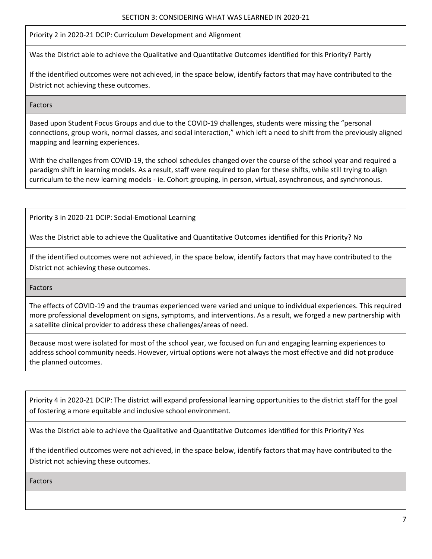Priority 2 in 2020-21 DCIP: Curriculum Development and Alignment

Was the District able to achieve the Qualitative and Quantitative Outcomes identified for this Priority? Partly

If the identified outcomes were not achieved, in the space below, identify factors that may have contributed to the District not achieving these outcomes.

Factors

Based upon Student Focus Groups and due to the COVID-19 challenges, students were missing the "personal connections, group work, normal classes, and social interaction," which left a need to shift from the previously aligned mapping and learning experiences.

With the challenges from COVID-19, the school schedules changed over the course of the school year and required a paradigm shift in learning models. As a result, staff were required to plan for these shifts, while still trying to align curriculum to the new learning models - ie. Cohort grouping, in person, virtual, asynchronous, and synchronous.

Priority 3 in 2020-21 DCIP: Social-Emotional Learning

Was the District able to achieve the Qualitative and Quantitative Outcomes identified for this Priority? No

If the identified outcomes were not achieved, in the space below, identify factors that may have contributed to the District not achieving these outcomes.

Factors

The effects of COVID-19 and the traumas experienced were varied and unique to individual experiences. This required more professional development on signs, symptoms, and interventions. As a result, we forged a new partnership with a satellite clinical provider to address these challenges/areas of need.

Because most were isolated for most of the school year, we focused on fun and engaging learning experiences to address school community needs. However, virtual options were not always the most effective and did not produce the planned outcomes.

Priority 4 in 2020-21 DCIP: The district will expand professional learning opportunities to the district staff for the goal of fostering a more equitable and inclusive school environment.

Was the District able to achieve the Qualitative and Quantitative Outcomes identified for this Priority? Yes

If the identified outcomes were not achieved, in the space below, identify factors that may have contributed to the District not achieving these outcomes.

Factors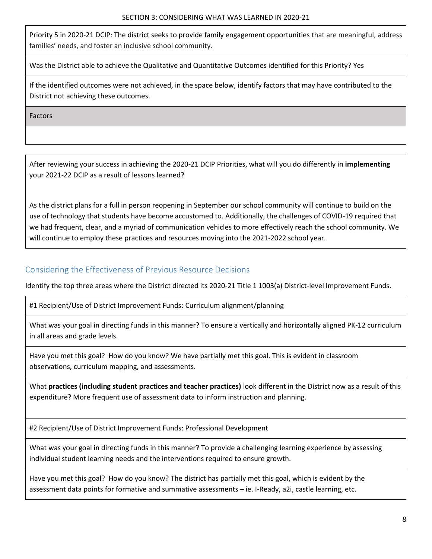Priority 5 in 2020-21 DCIP: The district seeks to provide family engagement opportunities that are meaningful, address families' needs, and foster an inclusive school community.

Was the District able to achieve the Qualitative and Quantitative Outcomes identified for this Priority? Yes

If the identified outcomes were not achieved, in the space below, identify factors that may have contributed to the District not achieving these outcomes.

Factors

After reviewing your success in achieving the 2020-21 DCIP Priorities, what will you do differently in **implementing**  your 2021-22 DCIP as a result of lessons learned?

As the district plans for a full in person reopening in September our school community will continue to build on the use of technology that students have become accustomed to. Additionally, the challenges of COVID-19 required that we had frequent, clear, and a myriad of communication vehicles to more effectively reach the school community. We will continue to employ these practices and resources moving into the 2021-2022 school year.

## <span id="page-7-0"></span>Considering the Effectiveness of Previous Resource Decisions

Identify the top three areas where the District directed its 2020-21 Title 1 1003(a) District-level Improvement Funds.

#1 Recipient/Use of District Improvement Funds: Curriculum alignment/planning

What was your goal in directing funds in this manner? To ensure a vertically and horizontally aligned PK-12 curriculum in all areas and grade levels.

Have you met this goal? How do you know? We have partially met this goal. This is evident in classroom observations, curriculum mapping, and assessments.

What **practices (including student practices and teacher practices)** look different in the District now as a result of this expenditure? More frequent use of assessment data to inform instruction and planning.

#2 Recipient/Use of District Improvement Funds: Professional Development

What was your goal in directing funds in this manner? To provide a challenging learning experience by assessing individual student learning needs and the interventions required to ensure growth.

Have you met this goal? How do you know? The district has partially met this goal, which is evident by the assessment data points for formative and summative assessments – ie. I-Ready, a2i, castle learning, etc.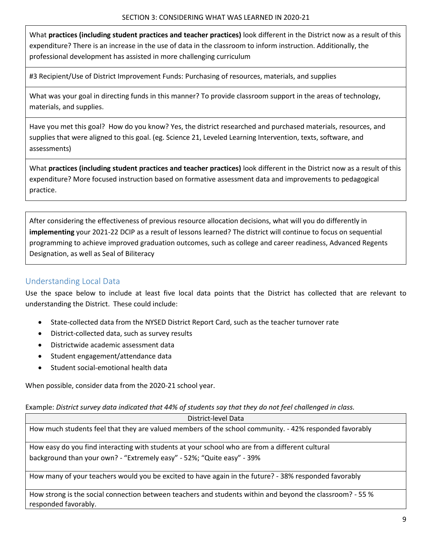What **practices (including student practices and teacher practices)** look different in the District now as a result of this expenditure? There is an increase in the use of data in the classroom to inform instruction. Additionally, the professional development has assisted in more challenging curriculum

#3 Recipient/Use of District Improvement Funds: Purchasing of resources, materials, and supplies

What was your goal in directing funds in this manner? To provide classroom support in the areas of technology, materials, and supplies.

Have you met this goal? How do you know? Yes, the district researched and purchased materials, resources, and supplies that were aligned to this goal. (eg. Science 21, Leveled Learning Intervention, texts, software, and assessments)

What **practices (including student practices and teacher practices)** look different in the District now as a result of this expenditure? More focused instruction based on formative assessment data and improvements to pedagogical practice.

After considering the effectiveness of previous resource allocation decisions, what will you do differently in **implementing** your 2021-22 DCIP as a result of lessons learned? The district will continue to focus on sequential programming to achieve improved graduation outcomes, such as college and career readiness, Advanced Regents Designation, as well as Seal of Biliteracy

## <span id="page-8-0"></span>Understanding Local Data

Use the space below to include at least five local data points that the District has collected that are relevant to understanding the District. These could include:

- State-collected data from the NYSED District Report Card, such as the teacher turnover rate
- District-collected data, such as survey results
- Districtwide academic assessment data
- Student engagement/attendance data
- Student social-emotional health data

When possible, consider data from the 2020-21 school year.

Example: *District survey data indicated that 44% of students say that they do not feel challenged in class.*

| District-level Data                                                                                                               |
|-----------------------------------------------------------------------------------------------------------------------------------|
| How much students feel that they are valued members of the school community. - 42% responded favorably                            |
| How easy do you find interacting with students at your school who are from a different cultural                                   |
| background than your own? - "Extremely easy" - 52%; "Quite easy" - 39%                                                            |
| How many of your teachers would you be excited to have again in the future? - 38% responded favorably                             |
| How strong is the social connection between teachers and students within and beyond the classroom? - 55 %<br>responded favorably. |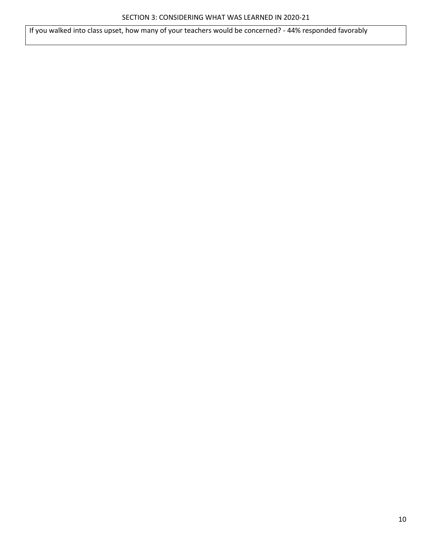If you walked into class upset, how many of your teachers would be concerned? - 44% responded favorably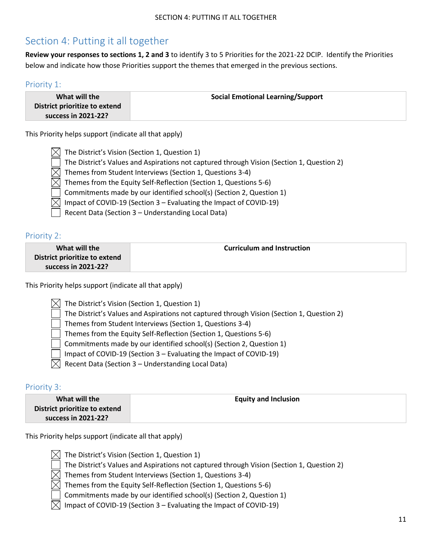# <span id="page-10-0"></span>Section 4: Putting it all together

**Review your responses to sections 1, 2 and 3** to identify 3 to 5 Priorities for the 2021-22 DCIP. Identify the Priorities below and indicate how those Priorities support the themes that emerged in the previous sections.

#### <span id="page-10-1"></span>Priority 1:

| What will the                 | <b>Social Emotional Learning/Support</b> |
|-------------------------------|------------------------------------------|
| District prioritize to extend |                                          |
| success in 2021-22?           |                                          |

This Priority helps support (indicate all that apply)

|              | $\boxtimes$ The District's Vision (Section 1, Question 1)                                 |
|--------------|-------------------------------------------------------------------------------------------|
| $\mathbf{I}$ | The District's Values and Aspirations not captured through Vision (Section 1, Question 2) |
|              | $\boxtimes$ Themes from Student Interviews (Section 1, Questions 3-4)                     |
|              | $\boxtimes$ Themes from the Equity Self-Reflection (Section 1, Questions 5-6)             |
|              | $\vert$ $\vert$ Commitments made by our identified school(s) (Section 2, Question 1)      |
|              | $\boxtimes$ Impact of COVID-19 (Section 3 – Evaluating the Impact of COVID-19)            |
|              | Recent Data (Section 3 - Understanding Local Data)                                        |

<span id="page-10-2"></span>Priority 2:

| What will the                 | <b>Curriculum and Instruction</b> |
|-------------------------------|-----------------------------------|
| District prioritize to extend |                                   |
| success in 2021-22?           |                                   |

This Priority helps support (indicate all that apply)

|  | $\Im$ The District's Vision (Section 1, Question 1) |  |  |  |  |  |
|--|-----------------------------------------------------|--|--|--|--|--|
|--|-----------------------------------------------------|--|--|--|--|--|

- The District's Values and Aspirations not captured through Vision (Section 1, Question 2)
- Themes from Student Interviews (Section 1, Questions 3-4)
- Themes from the Equity Self-Reflection (Section 1, Questions 5-6)
- Commitments made by our identified school(s) (Section 2, Question 1)
- Impact of COVID-19 (Section 3 Evaluating the Impact of COVID-19)
- $\boxtimes$  Recent Data (Section 3 Understanding Local Data)

#### <span id="page-10-3"></span>Priority 3:

| What will the                 | <b>Equity and Inclusion</b> |
|-------------------------------|-----------------------------|
| District prioritize to extend |                             |
| success in 2021-22?           |                             |

This Priority helps support (indicate all that apply)

- $[\times]$  The District's Vision (Section 1, Question 1)
	- The District's Values and Aspirations not captured through Vision (Section 1, Question 2)
- $\boxtimes$  Themes from Student Interviews (Section 1, Questions 3-4)
- $\boxtimes$  Themes from the Equity Self-Reflection (Section 1, Questions 5-6)
	- Commitments made by our identified school(s) (Section 2, Question 1)
- Impact of COVID-19 (Section 3 Evaluating the Impact of COVID-19)